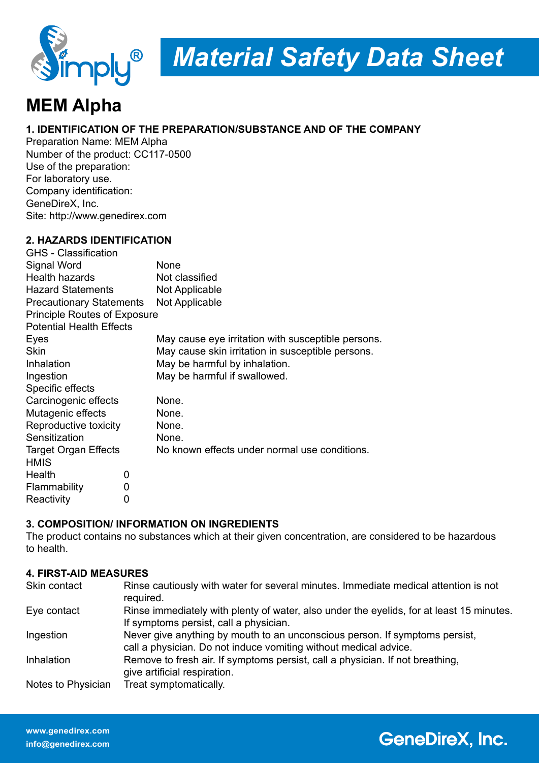

# *Material Safety Data Sheet*

# **MEM Alpha**

#### **1. IDENTIFICATION OF THE PREPARATION/SUBSTANCE AND OF THE COMPANY**

Preparation Name: MEM Alpha Number of the product: CC117-0500 Use of the preparation: For laboratory use. Company identification: GeneDireX, Inc. Site: http://www.genedirex.com

#### **2. HAZARDS IDENTIFICATION**

| <b>GHS</b> - Classification         |   |                                                    |
|-------------------------------------|---|----------------------------------------------------|
| Signal Word                         |   | None                                               |
| <b>Health hazards</b>               |   | Not classified                                     |
| <b>Hazard Statements</b>            |   | Not Applicable                                     |
| <b>Precautionary Statements</b>     |   | Not Applicable                                     |
| <b>Principle Routes of Exposure</b> |   |                                                    |
| <b>Potential Health Effects</b>     |   |                                                    |
| Eyes                                |   | May cause eye irritation with susceptible persons. |
| <b>Skin</b>                         |   | May cause skin irritation in susceptible persons.  |
| Inhalation                          |   | May be harmful by inhalation.                      |
| Ingestion                           |   | May be harmful if swallowed.                       |
| Specific effects                    |   |                                                    |
| Carcinogenic effects                |   | None.                                              |
| Mutagenic effects                   |   | None.                                              |
| Reproductive toxicity               |   | None.                                              |
| Sensitization                       |   | None.                                              |
| <b>Target Organ Effects</b>         |   | No known effects under normal use conditions.      |
| <b>HMIS</b>                         |   |                                                    |
| Health                              | 0 |                                                    |
| Flammability                        | 0 |                                                    |
| Reactivity                          | 0 |                                                    |

#### **3. COMPOSITION/ INFORMATION ON INGREDIENTS**

The product contains no substances which at their given concentration, are considered to be hazardous to health.

#### **4. FIRST-AID MEASURES**

| Skin contact       | Rinse cautiously with water for several minutes. Immediate medical attention is not<br>required.                                                |
|--------------------|-------------------------------------------------------------------------------------------------------------------------------------------------|
| Eye contact        | Rinse immediately with plenty of water, also under the eyelids, for at least 15 minutes.<br>If symptoms persist, call a physician.              |
| Ingestion          | Never give anything by mouth to an unconscious person. If symptoms persist,<br>call a physician. Do not induce vomiting without medical advice. |
| Inhalation         | Remove to fresh air. If symptoms persist, call a physician. If not breathing,<br>give artificial respiration.                                   |
| Notes to Physician | Treat symptomatically.                                                                                                                          |

## **GeneDireX, Inc.**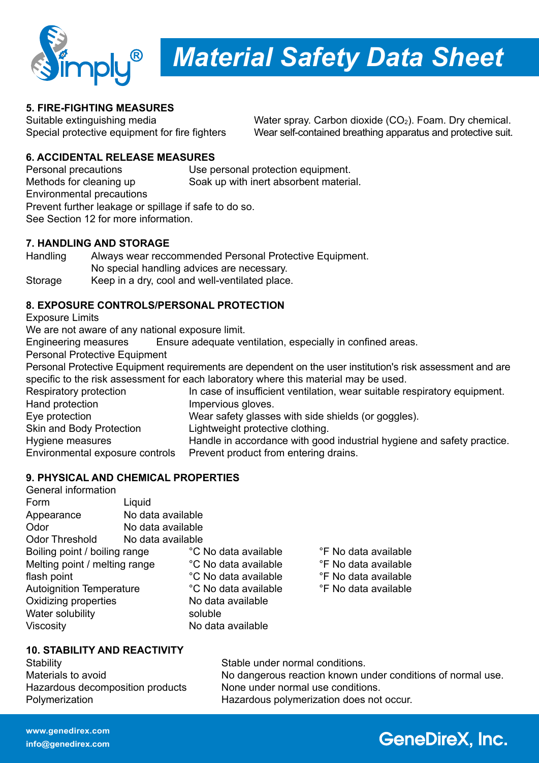

*Material Safety Data Sheet*

#### **5. FIRE-FIGHTING MEASURES**

Suitable extinguishing media  $W$ ater spray. Carbon dioxide  $(CO<sub>2</sub>)$ . Foam. Dry chemical. Special protective equipment for fire fighters Wear self-contained breathing apparatus and protective suit.

#### **6. ACCIDENTAL RELEASE MEASURES**

Personal precautions Use personal protection equipment. Methods for cleaning up Soak up with inert absorbent material. Environmental precautions Prevent further leakage or spillage if safe to do so. See Section 12 for more information.

#### **7. HANDLING AND STORAGE**

Handling Always wear reccommended Personal Protective Equipment. No special handling advices are necessary. Storage Keep in a dry, cool and well-ventilated place.

#### **8. EXPOSURE CONTROLS/PERSONAL PROTECTION**

Exposure Limits

We are not aware of any national exposure limit.<br>Engineering measures Ensure adequate ve

Ensure adequate ventilation, especially in confined areas.

Personal Protective Equipment

Personal Protective Equipment requirements are dependent on the user institution's risk assessment and are specific to the risk assessment for each laboratory where this material may be used.

Respiratory protection In case of insufficient ventilation, wear suitable respiratory equipment.<br>Hand protection Impervious gloves. Impervious gloves. Eye protection Wear safety glasses with side shields (or goggles). Skin and Body Protection Lightweight protective clothing. Hygiene measures Handle in accordance with good industrial hygiene and safety practice. Environmental exposure controls Prevent product from entering drains.

#### **9. PHYSICAL AND CHEMICAL PROPERTIES**

| <b>General information</b>      |                   |                      |                      |  |
|---------------------------------|-------------------|----------------------|----------------------|--|
| Form                            | Liquid            |                      |                      |  |
| Appearance                      | No data available |                      |                      |  |
| Odor                            | No data available |                      |                      |  |
| <b>Odor Threshold</b>           | No data available |                      |                      |  |
| Boiling point / boiling range   |                   | °C No data available | °F No data available |  |
| Melting point / melting range   |                   | °C No data available | °F No data available |  |
| flash point                     |                   | °C No data available | °F No data available |  |
| <b>Autoignition Temperature</b> |                   | °C No data available | °F No data available |  |
| Oxidizing properties            |                   | No data available    |                      |  |
| Water solubility                |                   | soluble              |                      |  |
| Viscosity                       |                   | No data available    |                      |  |

#### **10. STABILITY AND REACTIVITY**

Stability Stable under normal conditions. Hazardous decomposition products None under normal use conditions. Polymerization **Franciscus** Hazardous polymerization does not occur.

Materials to avoid Materials to avoid No dangerous reaction known under conditions of normal use.

# **GeneDireX, Inc.**